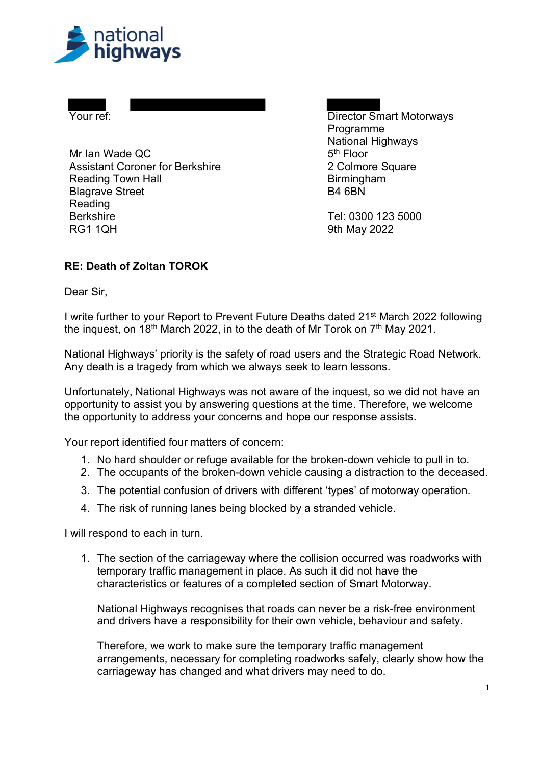

Blagrave Street **B4 6BN**  Berkshire Tel: 0300 123 5000 Mr Ian Wade  $QC$  5<sup>th</sup> Floor Assistant Coroner for Berkshire **2 Colmore Square Reading Town Hall** Reading RG1 1QH 9th May 2022

 Your ref: Director Smart Motorways **Birmingham** Programme National Highways

## RE: Death of Zoltan TOROK

Dear Sir,

I write further to your Report to Prevent Future Deaths dated 21<sup>st</sup> March 2022 following the inquest, on 18<sup>th</sup> March 2022, in to the death of Mr Torok on 7<sup>th</sup> May 2021.

 National Highways' priority is the safety of road users and the Strategic Road Network. Any death is a tragedy from which we always seek to learn lessons.

 Unfortunately, National Highways was not aware of the inquest, so we did not have an opportunity to assist you by answering questions at the time. Therefore, we welcome the opportunity to address your concerns and hope our response assists.

Your report identified four matters of concern:

- 1. No hard shoulder or refuge available for the broken-down vehicle to pull in to.
- 2. The occupants of the broken-down vehicle causing a distraction to the deceased.
- 3. The potential confusion of drivers with different 'types' of motorway operation.
- 4. The risk of running lanes being blocked by a stranded vehicle.

I will respond to each in turn.

 1. The section of the carriageway where the collision occurred was roadworks with temporary traffic management in place. As such it did not have the characteristics or features of a completed section of Smart Motorway.

 National Highways recognises that roads can never be a risk-free environment and drivers have a responsibility for their own vehicle, behaviour and safety.

 Therefore, we work to make sure the temporary traffic management arrangements, necessary for completing roadworks safely, clearly show how the carriageway has changed and what drivers may need to do.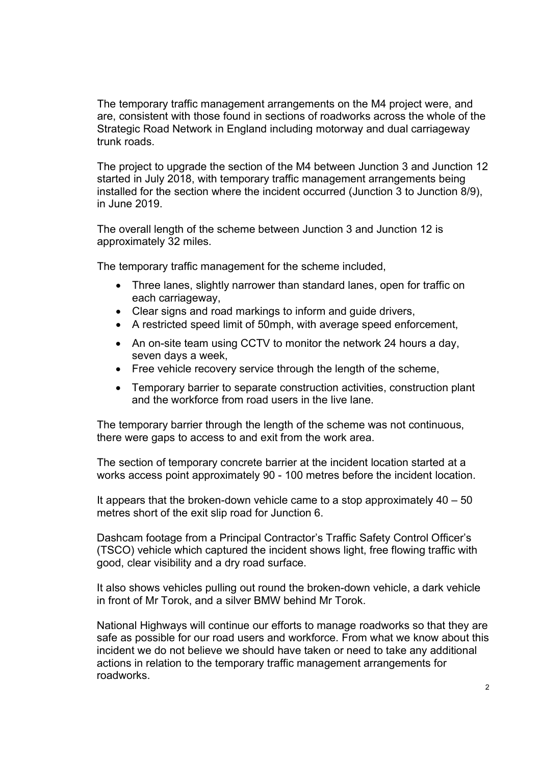The temporary traffic management arrangements on the M4 project were, and are, consistent with those found in sections of roadworks across the whole of the Strategic Road Network in England including motorway and dual carriageway trunk roads.

 The project to upgrade the section of the M4 between Junction 3 and Junction 12 started in July 2018, with temporary traffic management arrangements being installed for the section where the incident occurred (Junction 3 to Junction 8/9), in June 2019.

 The overall length of the scheme between Junction 3 and Junction 12 is approximately 32 miles.

The temporary traffic management for the scheme included,

- Three lanes, slightly narrower than standard lanes, open for traffic on each carriageway,
- Clear signs and road markings to inform and guide drivers,
- A restricted speed limit of 50mph, with average speed enforcement,
- An on-site team using CCTV to monitor the network 24 hours a day, seven days a week,
- Free vehicle recovery service through the length of the scheme,
- Temporary barrier to separate construction activities, construction plant and the workforce from road users in the live lane.

 The temporary barrier through the length of the scheme was not continuous, there were gaps to access to and exit from the work area.

 The section of temporary concrete barrier at the incident location started at a works access point approximately 90 - 100 metres before the incident location.

 It appears that the broken-down vehicle came to a stop approximately 40 – 50 metres short of the exit slip road for Junction 6.

 Dashcam footage from a Principal Contractor's Traffic Safety Control Officer's (TSCO) vehicle which captured the incident shows light, free flowing traffic with good, clear visibility and a dry road surface.

 It also shows vehicles pulling out round the broken-down vehicle, a dark vehicle in front of Mr Torok, and a silver BMW behind Mr Torok.

 National Highways will continue our efforts to manage roadworks so that they are safe as possible for our road users and workforce. From what we know about this incident we do not believe we should have taken or need to take any additional actions in relation to the temporary traffic management arrangements for roadworks.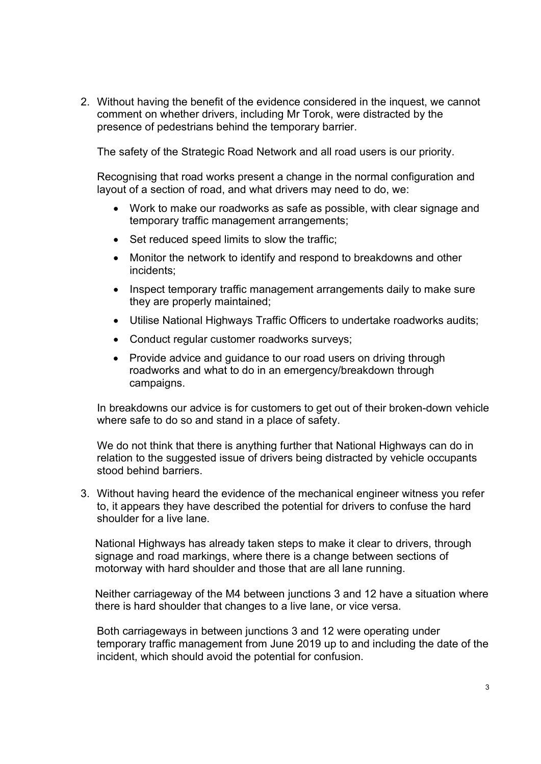2. Without having the benefit of the evidence considered in the inquest, we cannot comment on whether drivers, including Mr Torok, were distracted by the presence of pedestrians behind the temporary barrier.

The safety of the Strategic Road Network and all road users is our priority.

 Recognising that road works present a change in the normal configuration and layout of a section of road, and what drivers may need to do, we:

- Work to make our roadworks as safe as possible, with clear signage and temporary traffic management arrangements;
- Set reduced speed limits to slow the traffic;
- Monitor the network to identify and respond to breakdowns and other incidents;
- Inspect temporary traffic management arrangements daily to make sure they are properly maintained;
- Utilise National Highways Traffic Officers to undertake roadworks audits;
- Conduct regular customer roadworks surveys;
- Provide advice and guidance to our road users on driving through roadworks and what to do in an emergency/breakdown through campaigns.

 In breakdowns our advice is for customers to get out of their broken-down vehicle where safe to do so and stand in a place of safety.

 We do not think that there is anything further that National Highways can do in relation to the suggested issue of drivers being distracted by vehicle occupants stood behind barriers.

 3. Without having heard the evidence of the mechanical engineer witness you refer to, it appears they have described the potential for drivers to confuse the hard shoulder for a live lane.

 National Highways has already taken steps to make it clear to drivers, through signage and road markings, where there is a change between sections of motorway with hard shoulder and those that are all lane running.

 Neither carriageway of the M4 between junctions 3 and 12 have a situation where there is hard shoulder that changes to a live lane, or vice versa.

 Both carriageways in between junctions 3 and 12 were operating under temporary traffic management from June 2019 up to and including the date of the incident, which should avoid the potential for confusion.